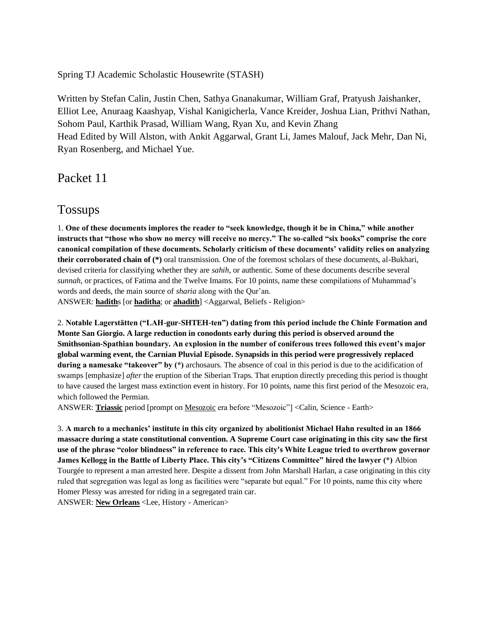Spring TJ Academic Scholastic Housewrite (STASH)

Written by Stefan Calin, Justin Chen, Sathya Gnanakumar, William Graf, Pratyush Jaishanker, Elliot Lee, Anuraag Kaashyap, Vishal Kanigicherla, Vance Kreider, Joshua Lian, Prithvi Nathan, Sohom Paul, Karthik Prasad, William Wang, Ryan Xu, and Kevin Zhang Head Edited by Will Alston, with Ankit Aggarwal, Grant Li, James Malouf, Jack Mehr, Dan Ni, Ryan Rosenberg, and Michael Yue.

Packet 11

## Tossups

1. **One of these documents implores the reader to "seek knowledge, though it be in China," while another instructs that "those who show no mercy will receive no mercy." The so-called "six books" comprise the core canonical compilation of these documents. Scholarly criticism of these documents' validity relies on analyzing their corroborated chain of (\*)** oral transmission. One of the foremost scholars of these documents, al-Bukhari, devised criteria for classifying whether they are *sahih*, or authentic. Some of these documents describe several *sunnah*, or practices, of Fatima and the Twelve Imams. For 10 points, name these compilations of Muhammad's words and deeds, the main source of *sharia* along with the Qur'an.

ANSWER: **hadith**s [or **haditha**; or **ahadith**] <Aggarwal, Beliefs - Religion>

2. **Notable Lagerstätten ("LAH-gur-SHTEH-ten") dating from this period include the Chinle Formation and Monte San Giorgio. A large reduction in conodonts early during this period is observed around the Smithsonian-Spathian boundary. An explosion in the number of coniferous trees followed this event's major global warming event, the Carnian Pluvial Episode. Synapsids in this period were progressively replaced during a namesake "takeover" by (\*)** archosaurs. The absence of coal in this period is due to the acidification of swamps [emphasize] *after* the eruption of the Siberian Traps. That eruption directly preceding this period is thought to have caused the largest mass extinction event in history. For 10 points, name this first period of the Mesozoic era, which followed the Permian.

ANSWER: **Triassic** period [prompt on Mesozoic era before "Mesozoic"] <Calin, Science - Earth>

3. **A march to a mechanics' institute in this city organized by abolitionist Michael Hahn resulted in an 1866 massacre during a state constitutional convention. A Supreme Court case originating in this city saw the first use of the phrase "color blindness" in reference to race. This city's White League tried to overthrow governor James Kellogg in the Battle of Liberty Place. This city's "Citizens Committee" hired the lawyer (\*)** Albion Tourgée to represent a man arrested here. Despite a dissent from John Marshall Harlan, a case originating in this city ruled that segregation was legal as long as facilities were "separate but equal." For 10 points, name this city where Homer Plessy was arrested for riding in a segregated train car.

ANSWER: **New Orleans** <Lee, History - American>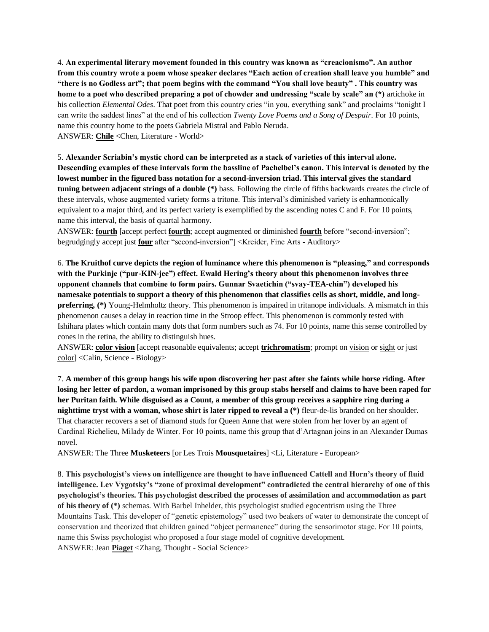4. **An experimental literary movement founded in this country was known as "creacionismo". An author from this country wrote a poem whose speaker declares "Each action of creation shall leave you humble" and "there is no Godless art"; that poem begins with the command "You shall love beauty" . This country was home to a poet who described preparing a pot of chowder and undressing "scale by scale" an (\*)** artichoke in his collection *Elemental Odes*. That poet from this country cries "in you, everything sank" and proclaims "tonight I can write the saddest lines" at the end of his collection *Twenty Love Poems and a Song of Despair*. For 10 points, name this country home to the poets Gabriela Mistral and Pablo Neruda. ANSWER: **Chile** <Chen, Literature - World>

5. **Alexander Scriabin's mystic chord can be interpreted as a stack of varieties of this interval alone. Descending examples of these intervals form the bassline of Pachelbel's canon. This interval is denoted by the lowest number in the figured bass notation for a second-inversion triad. This interval gives the standard tuning between adjacent strings of a double (\*)** bass. Following the circle of fifths backwards creates the circle of these intervals, whose augmented variety forms a tritone. This interval's diminished variety is enharmonically equivalent to a major third, and its perfect variety is exemplified by the ascending notes C and F. For 10 points, name this interval, the basis of quartal harmony.

ANSWER: **fourth** [accept perfect **fourth**; accept augmented or diminished **fourth** before "second-inversion"; begrudgingly accept just **four** after "second-inversion"] <Kreider, Fine Arts - Auditory>

6. **The Kruithof curve depicts the region of luminance where this phenomenon is "pleasing," and corresponds with the Purkinje ("pur-KIN-jee") effect. Ewald Hering's theory about this phenomenon involves three opponent channels that combine to form pairs. Gunnar Svaetichin ("svay-TEA-chin") developed his namesake potentials to support a theory of this phenomenon that classifies cells as short, middle, and longpreferring, (\*)** Young-Helmholtz theory. This phenomenon is impaired in tritanope individuals. A mismatch in this phenomenon causes a delay in reaction time in the Stroop effect. This phenomenon is commonly tested with Ishihara plates which contain many dots that form numbers such as 74. For 10 points, name this sense controlled by cones in the retina, the ability to distinguish hues.

ANSWER: **color vision** [accept reasonable equivalents; accept **trichromatism**; prompt on vision or sight or just color] <Calin, Science - Biology>

7. **A member of this group hangs his wife upon discovering her past after she faints while horse riding. After losing her letter of pardon, a woman imprisoned by this group stabs herself and claims to have been raped for her Puritan faith. While disguised as a Count, a member of this group receives a sapphire ring during a nighttime tryst with a woman, whose shirt is later ripped to reveal a (\*)** fleur-de-lis branded on her shoulder. That character recovers a set of diamond studs for Queen Anne that were stolen from her lover by an agent of Cardinal Richelieu, Milady de Winter. For 10 points, name this group that d'Artagnan joins in an Alexander Dumas novel.

ANSWER: The Three **Musketeers** [or Les Trois **Mousquetaires**] <Li, Literature - European>

8. **This psychologist's views on intelligence are thought to have influenced Cattell and Horn's theory of fluid intelligence. Lev Vygotsky's "zone of proximal development" contradicted the central hierarchy of one of this psychologist's theories. This psychologist described the processes of assimilation and accommodation as part of his theory of (\*)** schemas. With Barbel Inhelder, this psychologist studied egocentrism using the Three Mountains Task. This developer of "genetic epistemology" used two beakers of water to demonstrate the concept of conservation and theorized that children gained "object permanence" during the sensorimotor stage. For 10 points, name this Swiss psychologist who proposed a four stage model of cognitive development. ANSWER: Jean **Piaget** <Zhang, Thought - Social Science>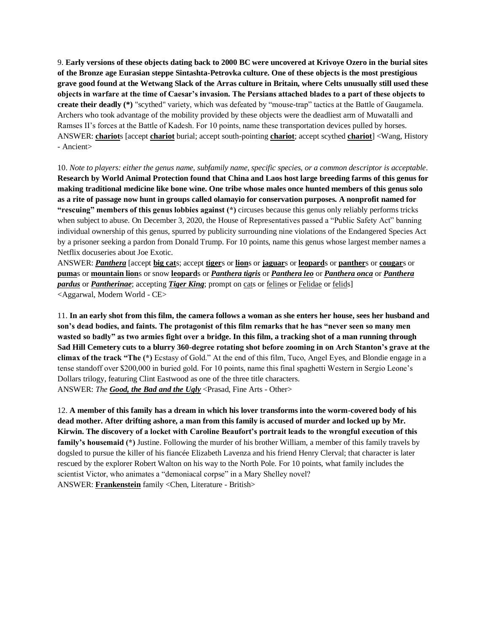9. **Early versions of these objects dating back to 2000 BC were uncovered at Krivoye Ozero in the burial sites of the Bronze age Eurasian steppe Sintashta-Petrovka culture. One of these objects is the most prestigious grave good found at the Wetwang Slack of the Arras culture in Britain, where Celts unusually still used these objects in warfare at the time of Caesar's invasion. The Persians attached blades to a part of these objects to create their deadly (\*)** "scythed" variety, which was defeated by "mouse-trap" tactics at the Battle of Gaugamela. Archers who took advantage of the mobility provided by these objects were the deadliest arm of Muwatalli and Ramses II's forces at the Battle of Kadesh. For 10 points, name these transportation devices pulled by horses. ANSWER: **chariot**s [accept **chariot** burial; accept south-pointing **chariot**; accept scythed **chariot**] <Wang, History - Ancient>

10. *Note to players: either the genus name, subfamily name, specific species, or a common descriptor is acceptable*. **Research by World Animal Protection found that China and Laos host large breeding farms of this genus for making traditional medicine like bone wine. One tribe whose males once hunted members of this genus solo as a rite of passage now hunt in groups called olamayio for conservation purposes. A nonprofit named for "rescuing" members of this genus lobbies against (\*)** circuses because this genus only reliably performs tricks when subject to abuse. On December 3, 2020, the House of Representatives passed a "Public Safety Act" banning individual ownership of this genus, spurred by publicity surrounding nine violations of the Endangered Species Act by a prisoner seeking a pardon from Donald Trump. For 10 points, name this genus whose largest member names a Netflix docuseries about Joe Exotic.

ANSWER: *Panthera* [accept **big cat**s; accept **tiger**s or **lion**s or **jaguar**s or **leopard**s or **panther**s or **cougar**s or **puma**s or **mountain lion**s or snow **leopard**s or *Panthera tigris* or *Panthera leo* or *Panthera onca* or *Panthera pardus* or *Pantherinae*; accepting *Tiger King*; prompt on cats or felines or Felidae or felids] <Aggarwal, Modern World - CE>

11. **In an early shot from this film, the camera follows a woman as she enters her house, sees her husband and son's dead bodies, and faints. The protagonist of this film remarks that he has "never seen so many men wasted so badly" as two armies fight over a bridge. In this film, a tracking shot of a man running through Sad Hill Cemetery cuts to a blurry 360-degree rotating shot before zooming in on Arch Stanton's grave at the climax of the track "The (\*)** Ecstasy of Gold." At the end of this film, Tuco, Angel Eyes, and Blondie engage in a tense standoff over \$200,000 in buried gold. For 10 points, name this final spaghetti Western in Sergio Leone's Dollars trilogy, featuring Clint Eastwood as one of the three title characters. ANSWER: *The Good, the Bad and the Ugly* <Prasad, Fine Arts - Other>

12. **A member of this family has a dream in which his lover transforms into the worm-covered body of his dead mother. After drifting ashore, a man from this family is accused of murder and locked up by Mr. Kirwin. The discovery of a locket with Caroline Beaufort's portrait leads to the wrongful execution of this family's housemaid (\*)** Justine. Following the murder of his brother William, a member of this family travels by dogsled to pursue the killer of his fiancée Elizabeth Lavenza and his friend Henry Clerval; that character is later rescued by the explorer Robert Walton on his way to the North Pole. For 10 points, what family includes the scientist Victor, who animates a "demoniacal corpse" in a Mary Shelley novel? ANSWER: **Frankenstein** family <Chen, Literature - British>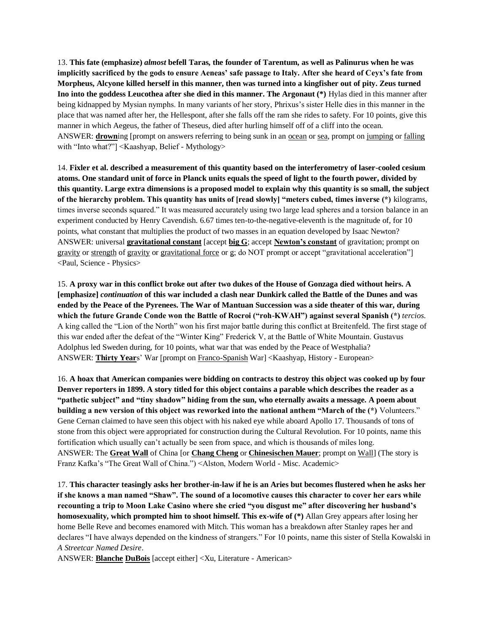13. **This fate (emphasize)** *almost* **befell Taras, the founder of Tarentum, as well as Palinurus when he was implicitly sacrificed by the gods to ensure Aeneas' safe passage to Italy. After she heard of Ceyx's fate from Morpheus, Alcyone killed herself in this manner, then was turned into a kingfisher out of pity. Zeus turned Ino into the goddess Leucothea after she died in this manner. The Argonaut (\*)** Hylas died in this manner after being kidnapped by Mysian nymphs. In many variants of her story, Phrixus's sister Helle dies in this manner in the place that was named after her, the Hellespont, after she falls off the ram she rides to safety. For 10 points, give this manner in which Aegeus, the father of Theseus, died after hurling himself off of a cliff into the ocean. ANSWER: **drown**ing [prompt on answers referring to being sunk in an <u>ocean</u> or sea, prompt on jumping or falling with "Into what?"] <Kaashyap, Belief - Mythology>

14. **Fixler et al. described a measurement of this quantity based on the interferometry of laser-cooled cesium atoms. One standard unit of force in Planck units equals the speed of light to the fourth power, divided by this quantity. Large extra dimensions is a proposed model to explain why this quantity is so small, the subject of the hierarchy problem. This quantity has units of [read slowly] "meters cubed, times inverse (\*)** kilograms, times inverse seconds squared." It was measured accurately using two large lead spheres and a torsion balance in an experiment conducted by Henry Cavendish. 6.67 times ten-to-the-negative-eleventh is the magnitude of, for 10 points, what constant that multiplies the product of two masses in an equation developed by Isaac Newton? ANSWER: universal **gravitational constant** [accept **big G**; accept **Newton's constant** of gravitation; prompt on gravity or strength of gravity or gravitational force or g; do NOT prompt or accept "gravitational acceleration"] <Paul, Science - Physics>

15. **A proxy war in this conflict broke out after two dukes of the House of Gonzaga died without heirs. A [emphasize]** *continuation* **of this war included a clash near Dunkirk called the Battle of the Dunes and was ended by the Peace of the Pyrenees. The War of Mantuan Succession was a side theater of this war, during which the future Grande Conde won the Battle of Rocroi ("roh-KWAH") against several Spanish (\*)** *tercios*. A king called the "Lion of the North" won his first major battle during this conflict at Breitenfeld. The first stage of this war ended after the defeat of the "Winter King" Frederick V, at the Battle of White Mountain. Gustavus Adolphus led Sweden during, for 10 points, what war that was ended by the Peace of Westphalia? ANSWER: **Thirty Year**s' War [prompt on Franco-Spanish War] <Kaashyap, History - European>

16. **A hoax that American companies were bidding on contracts to destroy this object was cooked up by four Denver reporters in 1899. A story titled for this object contains a parable which describes the reader as a "pathetic subject" and "tiny shadow" hiding from the sun, who eternally awaits a message. A poem about building a new version of this object was reworked into the national anthem "March of the (\*)** Volunteers." Gene Cernan claimed to have seen this object with his naked eye while aboard Apollo 17. Thousands of tons of stone from this object were appropriated for construction during the Cultural Revolution. For 10 points, name this fortification which usually can't actually be seen from space, and which is thousands of miles long. ANSWER: The **Great Wall** of China [or **Chang Cheng** or **Chinesischen Mauer**; prompt on Wall] (The story is Franz Kafka's "The Great Wall of China.") <Alston, Modern World - Misc. Academic>

17. **This character teasingly asks her brother-in-law if he is an Aries but becomes flustered when he asks her if she knows a man named "Shaw". The sound of a locomotive causes this character to cover her ears while recounting a trip to Moon Lake Casino where she cried "you disgust me" after discovering her husband's homosexuality, which prompted him to shoot himself. This ex-wife of (\*)** Allan Grey appears after losing her home Belle Reve and becomes enamored with Mitch. This woman has a breakdown after Stanley rapes her and declares "I have always depended on the kindness of strangers." For 10 points, name this sister of Stella Kowalski in *A Streetcar Named Desire*.

ANSWER: **Blanche DuBois** [accept either] <Xu, Literature - American>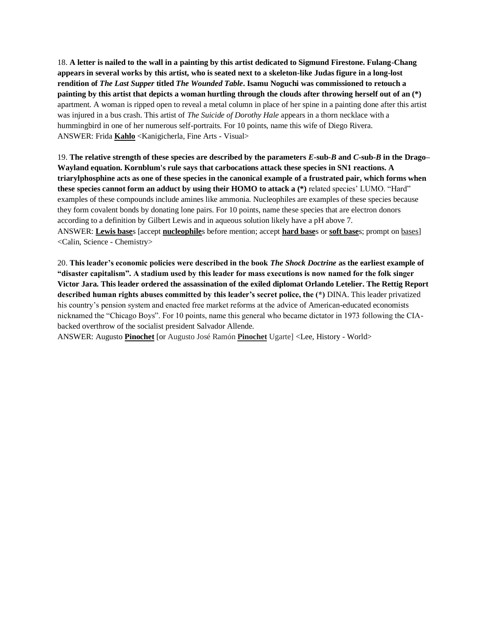18. **A letter is nailed to the wall in a painting by this artist dedicated to Sigmund Firestone. Fulang-Chang appears in several works by this artist, who is seated next to a skeleton-like Judas figure in a long-lost rendition of** *The Last Supper* **titled** *The Wounded Table***. Isamu Noguchi was commissioned to retouch a painting by this artist that depicts a woman hurtling through the clouds after throwing herself out of an (\*)**  apartment. A woman is ripped open to reveal a metal column in place of her spine in a painting done after this artist was injured in a bus crash. This artist of *The Suicide of Dorothy Hale* appears in a thorn necklace with a hummingbird in one of her numerous self-portraits. For 10 points, name this wife of Diego Rivera. ANSWER: Frida **Kahlo** <Kanigicherla, Fine Arts - Visual>

19. **The relative strength of these species are described by the parameters** *E***-sub-***B* **and** *C***-sub-***B* **in the Drago– Wayland equation. Kornblum's rule says that carbocations attack these species in SN1 reactions. A triarylphosphine acts as one of these species in the canonical example of a frustrated pair, which forms when these species cannot form an adduct by using their HOMO to attack a (\*)** related species' LUMO. "Hard" examples of these compounds include amines like ammonia. Nucleophiles are examples of these species because they form covalent bonds by donating lone pairs. For 10 points, name these species that are electron donors according to a definition by Gilbert Lewis and in aqueous solution likely have a pH above 7. ANSWER: **Lewis base**s [accept **nucleophile**s before mention; accept **hard base**s or **soft base**s; prompt on bases] <Calin, Science - Chemistry>

20. **This leader's economic policies were described in the book** *The Shock Doctrine* **as the earliest example of "disaster capitalism". A stadium used by this leader for mass executions is now named for the folk singer Victor Jara. This leader ordered the assassination of the exiled diplomat Orlando Letelier. The Rettig Report described human rights abuses committed by this leader's secret police, the (\*)** DINA. This leader privatized his country's pension system and enacted free market reforms at the advice of American-educated economists nicknamed the "Chicago Boys". For 10 points, name this general who became dictator in 1973 following the CIAbacked overthrow of the socialist president Salvador Allende.

ANSWER: Augusto **Pinochet** [or Augusto José Ramón **Pinochet** Ugarte] <Lee, History - World>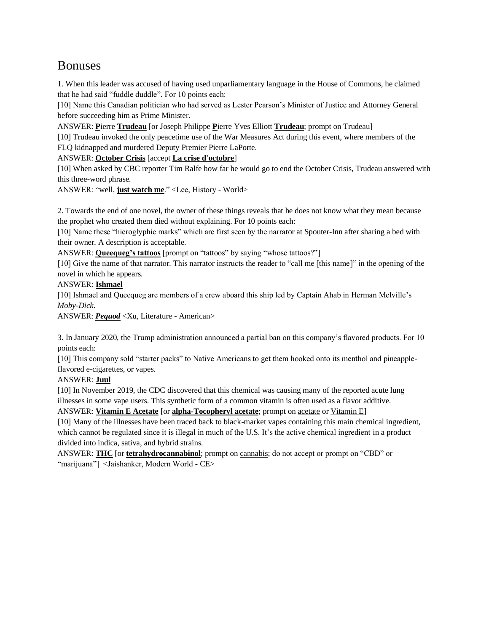# Bonuses

1. When this leader was accused of having used unparliamentary language in the House of Commons, he claimed that he had said "fuddle duddle". For 10 points each:

[10] Name this Canadian politician who had served as Lester Pearson's Minister of Justice and Attorney General before succeeding him as Prime Minister.

ANSWER: **P**ierre **Trudeau** [or Joseph Philippe **P**ierre Yves Elliott **Trudeau**; prompt on Trudeau]

[10] Trudeau invoked the only peacetime use of the War Measures Act during this event, where members of the FLQ kidnapped and murdered Deputy Premier Pierre LaPorte.

ANSWER: **October Crisis** [accept **La crise d'octobre**]

[10] When asked by CBC reporter Tim Ralfe how far he would go to end the October Crisis, Trudeau answered with this three-word phrase.

ANSWER: "well, **just watch me**." <Lee, History - World>

2. Towards the end of one novel, the owner of these things reveals that he does not know what they mean because the prophet who created them died without explaining. For 10 points each:

[10] Name these "hieroglyphic marks" which are first seen by the narrator at Spouter-Inn after sharing a bed with their owner. A description is acceptable.

ANSWER: **Queequeg's tattoos** [prompt on "tattoos" by saying "whose tattoos?"]

[10] Give the name of that narrator. This narrator instructs the reader to "call me [this name]" in the opening of the novel in which he appears.

## ANSWER: **Ishmael**

[10] Ishmael and Queequeg are members of a crew aboard this ship led by Captain Ahab in Herman Melville's *Moby-Dick*.

ANSWER: *Pequod* <Xu, Literature - American>

3. In January 2020, the Trump administration announced a partial ban on this company's flavored products. For 10 points each:

[10] This company sold "starter packs" to Native Americans to get them hooked onto its menthol and pineappleflavored e-cigarettes, or vapes.

## ANSWER: **Juul**

[10] In November 2019, the CDC discovered that this chemical was causing many of the reported acute lung illnesses in some vape users. This synthetic form of a common vitamin is often used as a flavor additive.

ANSWER: **Vitamin E Acetate** [or **alpha-Tocopheryl acetate**; prompt on acetate or Vitamin E]

[10] Many of the illnesses have been traced back to black-market vapes containing this main chemical ingredient, which cannot be regulated since it is illegal in much of the U.S. It's the active chemical ingredient in a product divided into indica, sativa, and hybrid strains.

ANSWER: **THC** [or **tetrahydrocannabinol**; prompt on cannabis; do not accept or prompt on "CBD" or "marijuana"] <Jaishanker, Modern World - CE>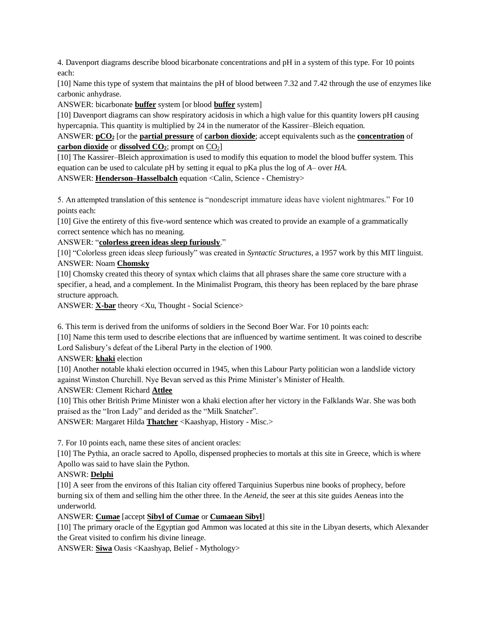4. Davenport diagrams describe blood bicarbonate concentrations and pH in a system of this type. For 10 points each:

[10] Name this type of system that maintains the pH of blood between 7.32 and 7.42 through the use of enzymes like carbonic anhydrase.

ANSWER: bicarbonate **buffer** system [or blood **buffer** system]

[10] Davenport diagrams can show respiratory acidosis in which a high value for this quantity lowers pH causing hypercapnia. This quantity is multiplied by 24 in the numerator of the Kassirer–Bleich equation.

ANSWER: **pCO<sup>2</sup>** [or the **partial pressure** of **carbon dioxide**; accept equivalents such as the **concentration** of **carbon dioxide** or **dissolved CO2**; prompt on CO2]

[10] The Kassirer–Bleich approximation is used to modify this equation to model the blood buffer system. This equation can be used to calculate pH by setting it equal to pKa plus the log of *A*– over *HA*.

ANSWER: **Henderson–Hasselbalch** equation <Calin, Science - Chemistry>

5. An attempted translation of this sentence is "nondescript immature ideas have violent nightmares." For 10 points each:

[10] Give the entirety of this five-word sentence which was created to provide an example of a grammatically correct sentence which has no meaning.

ANSWER: "**colorless green ideas sleep furiously**."

[10] "Colorless green ideas sleep furiously" was created in *Syntactic Structures*, a 1957 work by this MIT linguist. ANSWER: Noam **Chomsky**

[10] Chomsky created this theory of syntax which claims that all phrases share the same core structure with a specifier, a head, and a complement. In the Minimalist Program, this theory has been replaced by the bare phrase structure approach.

ANSWER: **X-bar** theory <Xu, Thought - Social Science>

6. This term is derived from the uniforms of soldiers in the Second Boer War. For 10 points each:

[10] Name this term used to describe elections that are influenced by wartime sentiment. It was coined to describe Lord Salisbury's defeat of the Liberal Party in the election of 1900.

ANSWER: **khaki** election

[10] Another notable khaki election occurred in 1945, when this Labour Party politician won a landslide victory against Winston Churchill. Nye Bevan served as this Prime Minister's Minister of Health.

ANSWER: Clement Richard **Attlee**

[10] This other British Prime Minister won a khaki election after her victory in the Falklands War. She was both praised as the "Iron Lady" and derided as the "Milk Snatcher".

ANSWER: Margaret Hilda **Thatcher** <Kaashyap, History - Misc.>

7. For 10 points each, name these sites of ancient oracles:

[10] The Pythia, an oracle sacred to Apollo, dispensed prophecies to mortals at this site in Greece, which is where Apollo was said to have slain the Python.

## ANSWR: **Delphi**

[10] A seer from the environs of this Italian city offered Tarquinius Superbus nine books of prophecy, before burning six of them and selling him the other three. In the *Aeneid*, the seer at this site guides Aeneas into the underworld.

## ANSWER: **Cumae** [accept **Sibyl of Cumae** or **Cumaean Sibyl**]

[10] The primary oracle of the Egyptian god Ammon was located at this site in the Libyan deserts, which Alexander the Great visited to confirm his divine lineage.

ANSWER: **Siwa** Oasis <Kaashyap, Belief - Mythology>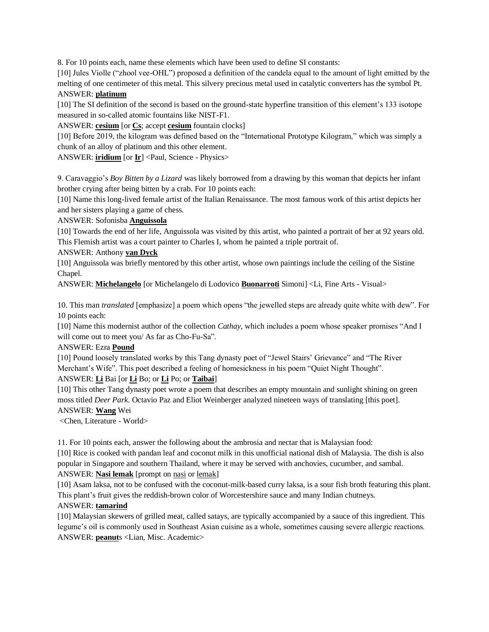8. For 10 points each, name these elements which have been used to define SI constants:

[10] Jules Violle ("zhool vee-OHL") proposed a definition of the candela equal to the amount of light emitted by the melting of one centimeter of this metal. This silvery precious metal used in catalytic converters has the symbol Pt. ANSWER: **platinum**

[10] The SI definition of the second is based on the ground-state hyperfine transition of this element's 133 isotope measured in so-called atomic fountains like NIST-F1.

ANSWER: **cesium** [or **Cs**; accept **cesium** fountain clocks]

[10] Before 2019, the kilogram was defined based on the "International Prototype Kilogram," which was simply a chunk of an alloy of platinum and this other element.

ANSWER: **iridium** [or **Ir**] <Paul, Science - Physics>

9. Caravaggio's *Boy Bitten by a Lizard* was likely borrowed from a drawing by this woman that depicts her infant brother crying after being bitten by a crab. For 10 points each:

[10] Name this long-lived female artist of the Italian Renaissance. The most famous work of this artist depicts her and her sisters playing a game of chess.

ANSWER: Sofonisba **Anguissola**

[10] Towards the end of her life, Anguissola was visited by this artist, who painted a portrait of her at 92 years old. This Flemish artist was a court painter to Charles I, whom he painted a triple portrait of.

#### ANSWER: Anthony **van Dyck**

[10] Anguissola was briefly mentored by this other artist, whose own paintings include the ceiling of the Sistine Chapel.

ANSWER: **Michelangelo** [or Michelangelo di Lodovico **Buonarroti** Simoni] <Li, Fine Arts - Visual>

10. This man *translated* [emphasize] a poem which opens "the jewelled steps are already quite white with dew". For 10 points each:

[10] Name this modernist author of the collection *Cathay*, which includes a poem whose speaker promises "And I will come out to meet you/ As far as Cho-Fu-Sa".

#### ANSWER: Ezra **Pound**

[10] Pound loosely translated works by this Tang dynasty poet of "Jewel Stairs' Grievance" and "The River Merchant's Wife". This poet described a feeling of homesickness in his poem "Quiet Night Thought". ANSWER: **Li** Bai [or **Li** Bo; or **Li** Po; or **Taibai**]

[10] This other Tang dynasty poet wrote a poem that describes an empty mountain and sunlight shining on green moss titled *Deer Park*. Octavio Paz and Eliot Weinberger analyzed nineteen ways of translating [this poet]. ANSWER: **Wang** Wei

<Chen, Literature - World>

11. For 10 points each, answer the following about the ambrosia and nectar that is Malaysian food:

[10] Rice is cooked with pandan leaf and coconut milk in this unofficial national dish of Malaysia. The dish is also popular in Singapore and southern Thailand, where it may be served with anchovies, cucumber, and sambal. ANSWER: **Nasi lemak** [prompt on nasi or lemak]

[10] Asam laksa, not to be confused with the coconut-milk-based curry laksa, is a sour fish broth featuring this plant. This plant's fruit gives the reddish-brown color of Worcestershire sauce and many Indian chutneys.

## ANSWER: **tamarind**

[10] Malaysian skewers of grilled meat, called satays, are typically accompanied by a sauce of this ingredient. This legume's oil is commonly used in Southeast Asian cuisine as a whole, sometimes causing severe allergic reactions. ANSWER: **peanut**s <Lian, Misc. Academic>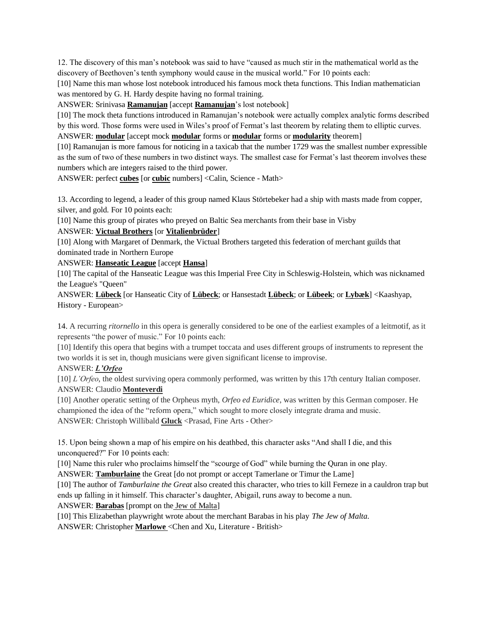12. The discovery of this man's notebook was said to have "caused as much stir in the mathematical world as the discovery of Beethoven's tenth symphony would cause in the musical world." For 10 points each:

[10] Name this man whose lost notebook introduced his famous mock theta functions. This Indian mathematician was mentored by G. H. Hardy despite having no formal training.

ANSWER: Srinivasa **Ramanujan** [accept **Ramanujan**'s lost notebook]

[10] The mock theta functions introduced in Ramanujan's notebook were actually complex analytic forms described by this word. Those forms were used in Wiles's proof of Fermat's last theorem by relating them to elliptic curves.

ANSWER: **modular** [accept mock **modular** forms or **modular** forms or **modularity** theorem]

[10] Ramanujan is more famous for noticing in a taxicab that the number 1729 was the smallest number expressible as the sum of two of these numbers in two distinct ways. The smallest case for Fermat's last theorem involves these numbers which are integers raised to the third power.

ANSWER: perfect **cubes** [or **cubic** numbers] <Calin, Science - Math>

13. According to legend, a leader of this group named Klaus Störtebeker had a ship with masts made from copper, silver, and gold. For 10 points each:

[10] Name this group of pirates who preyed on Baltic Sea merchants from their base in Visby

#### ANSWER: **Victual Brothers** [or **Vitalienbrüder**]

[10] Along with Margaret of Denmark, the Victual Brothers targeted this federation of merchant guilds that dominated trade in Northern Europe

ANSWER: **Hanseatic League** [accept **Hansa**]

[10] The capital of the Hanseatic League was this Imperial Free City in Schleswig-Holstein, which was nicknamed the League's "Queen"

ANSWER: **Lübeck** [or Hanseatic City of **Lübeck**; or Hansestadt **Lübeck**; or **Lübeek**; or **Lybæk**] <Kaashyap, History - European>

14. A recurring *ritornello* in this opera is generally considered to be one of the earliest examples of a leitmotif, as it represents "the power of music." For 10 points each:

[10] Identify this opera that begins with a trumpet toccata and uses different groups of instruments to represent the two worlds it is set in, though musicians were given significant license to improvise.

## ANSWER: *L'Orfeo*

[10] *L'Orfeo*, the oldest surviving opera commonly performed, was written by this 17th century Italian composer. ANSWER: Claudio **Monteverdi**

[10] Another operatic setting of the Orpheus myth, *Orfeo ed Euridice*, was written by this German composer. He championed the idea of the "reform opera," which sought to more closely integrate drama and music. ANSWER: Christoph Willibald **Gluck** <Prasad, Fine Arts - Other>

15. Upon being shown a map of his empire on his deathbed, this character asks "And shall I die, and this unconquered?" For 10 points each:

[10] Name this ruler who proclaims himself the "scourge of God" while burning the Quran in one play.

ANSWER: **Tamburlaine** the Great [do not prompt or accept Tamerlane or Timur the Lame]

[10] The author of *Tamburlaine the Great* also created this character, who tries to kill Ferneze in a cauldron trap but ends up falling in it himself. This character's daughter, Abigail, runs away to become a nun.

ANSWER: **Barabas** [prompt on the Jew of Malta]

[10] This Elizabethan playwright wrote about the merchant Barabas in his play *The Jew of Malta*. ANSWER: Christopher **Marlowe** <Chen and Xu, Literature - British>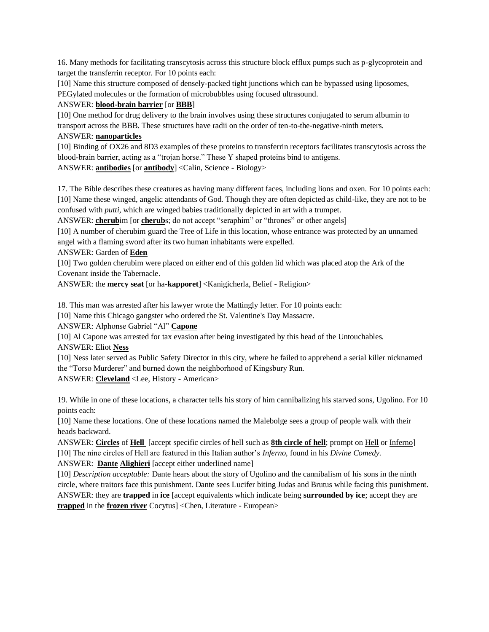16. Many methods for facilitating transcytosis across this structure block efflux pumps such as p-glycoprotein and target the transferrin receptor. For 10 points each:

[10] Name this structure composed of densely-packed tight junctions which can be bypassed using liposomes, PEGylated molecules or the formation of microbubbles using focused ultrasound.

#### ANSWER: **blood-brain barrier** [or **BBB**]

[10] One method for drug delivery to the brain involves using these structures conjugated to serum albumin to transport across the BBB. These structures have radii on the order of ten-to-the-negative-ninth meters.

#### ANSWER: **nanoparticles**

[10] Binding of OX26 and 8D3 examples of these proteins to transferrin receptors facilitates transcytosis across the blood-brain barrier, acting as a "trojan horse." These Y shaped proteins bind to antigens.

ANSWER: **antibodies** [or **antibody**] <Calin, Science - Biology>

17. The Bible describes these creatures as having many different faces, including lions and oxen. For 10 points each: [10] Name these winged, angelic attendants of God. Though they are often depicted as child-like, they are not to be confused with *putti*, which are winged babies traditionally depicted in art with a trumpet.

ANSWER: **cherub**im [or **cherub**s; do not accept "seraphim" or "thrones" or other angels]

[10] A number of cherubim guard the Tree of Life in this location, whose entrance was protected by an unnamed angel with a flaming sword after its two human inhabitants were expelled.

## ANSWER: Garden of **Eden**

[10] Two golden cherubim were placed on either end of this golden lid which was placed atop the Ark of the Covenant inside the Tabernacle.

ANSWER: the **mercy seat** [or ha-**kapporet**] <Kanigicherla, Belief - Religion>

18. This man was arrested after his lawyer wrote the Mattingly letter. For 10 points each:

[10] Name this Chicago gangster who ordered the St. Valentine's Day Massacre.

ANSWER: Alphonse Gabriel "Al" **Capone**

[10] Al Capone was arrested for tax evasion after being investigated by this head of the Untouchables. ANSWER: Eliot **Ness**

[10] Ness later served as Public Safety Director in this city, where he failed to apprehend a serial killer nicknamed the "Torso Murderer" and burned down the neighborhood of Kingsbury Run.

ANSWER: **Cleveland** <Lee, History - American>

19. While in one of these locations, a character tells his story of him cannibalizing his starved sons, Ugolino. For 10 points each:

[10] Name these locations. One of these locations named the Malebolge sees a group of people walk with their heads backward.

ANSWER: **Circles** of **Hell** [accept specific circles of hell such as **8th circle of hell**; prompt on Hell or Inferno] [10] The nine circles of Hell are featured in this Italian author's *Inferno,* found in his *Divine Comedy.*

ANSWER: **Dante Alighieri** [accept either underlined name]

[10] *Description acceptable:* Dante hears about the story of Ugolino and the cannibalism of his sons in the ninth circle, where traitors face this punishment. Dante sees Lucifer biting Judas and Brutus while facing this punishment. ANSWER: they are **trapped** in **ice** [accept equivalents which indicate being **surrounded by ice**; accept they are **trapped** in the **frozen river** Cocytus] <Chen, Literature - European>